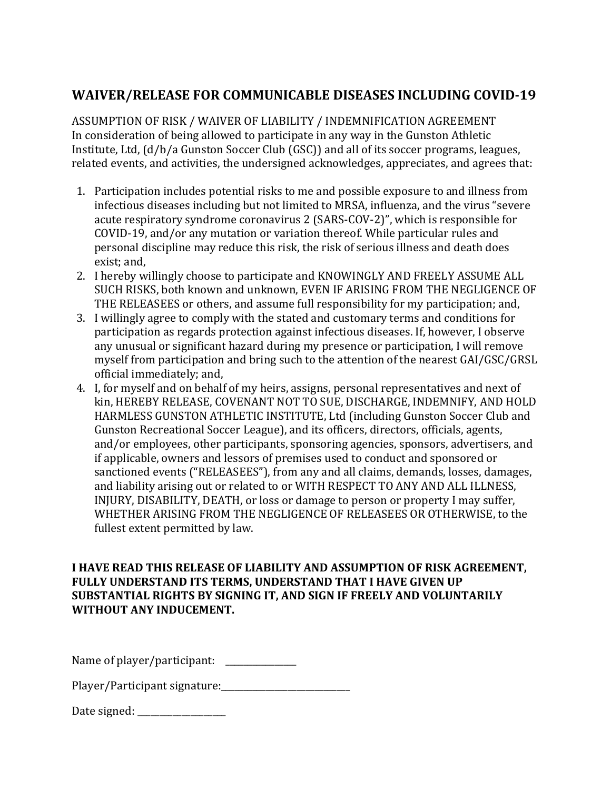## **WAIVER/RELEASE FOR COMMUNICABLE DISEASES INCLUDING COVID-19**

ASSUMPTION OF RISK / WAIVER OF LIABILITY / INDEMNIFICATION AGREEMENT In consideration of being allowed to participate in any way in the Gunston Athletic Institute, Ltd, (d/b/a Gunston Soccer Club (GSC)) and all of its soccer programs, leagues, related events, and activities, the undersigned acknowledges, appreciates, and agrees that:

- 1. Participation includes potential risks to me and possible exposure to and illness from infectious diseases including but not limited to MRSA, influenza, and the virus "severe acute respiratory syndrome coronavirus 2 (SARS-COV-2)", which is responsible for COVID-19, and/or any mutation or variation thereof. While particular rules and personal discipline may reduce this risk, the risk of serious illness and death does exist; and,
- 2. I hereby willingly choose to participate and KNOWINGLY AND FREELY ASSUME ALL SUCH RISKS, both known and unknown, EVEN IF ARISING FROM THE NEGLIGENCE OF THE RELEASEES or others, and assume full responsibility for my participation; and,
- 3. I willingly agree to comply with the stated and customary terms and conditions for participation as regards protection against infectious diseases. If, however, I observe any unusual or significant hazard during my presence or participation, I will remove myself from participation and bring such to the attention of the nearest GAI/GSC/GRSL official immediately; and,
- 4. I, for myself and on behalf of my heirs, assigns, personal representatives and next of kin, HEREBY RELEASE, COVENANT NOT TO SUE, DISCHARGE, INDEMNIFY, AND HOLD HARMLESS GUNSTON ATHLETIC INSTITUTE, Ltd (including Gunston Soccer Club and Gunston Recreational Soccer League), and its officers, directors, officials, agents, and/or employees, other participants, sponsoring agencies, sponsors, advertisers, and if applicable, owners and lessors of premises used to conduct and sponsored or sanctioned events ("RELEASEES"), from any and all claims, demands, losses, damages, and liability arising out or related to or WITH RESPECT TO ANY AND ALL ILLNESS, INJURY, DISABILITY, DEATH, or loss or damage to person or property I may suffer, WHETHER ARISING FROM THE NEGLIGENCE OF RELEASEES OR OTHERWISE, to the fullest extent permitted by law.

## **I HAVE READ THIS RELEASE OF LIABILITY AND ASSUMPTION OF RISK AGREEMENT, FULLY UNDERSTAND ITS TERMS, UNDERSTAND THAT I HAVE GIVEN UP SUBSTANTIAL RIGHTS BY SIGNING IT, AND SIGN IF FREELY AND VOLUNTARILY WITHOUT ANY INDUCEMENT.**

Name of player/participant: \_\_\_\_\_\_\_\_\_\_\_\_\_

Player/Participant signature:\_\_\_\_\_\_\_\_\_\_\_\_\_\_\_\_\_\_\_\_\_\_\_\_\_\_\_\_\_

Date signed: \_\_\_\_\_\_\_\_\_\_\_\_\_\_\_\_\_\_\_\_